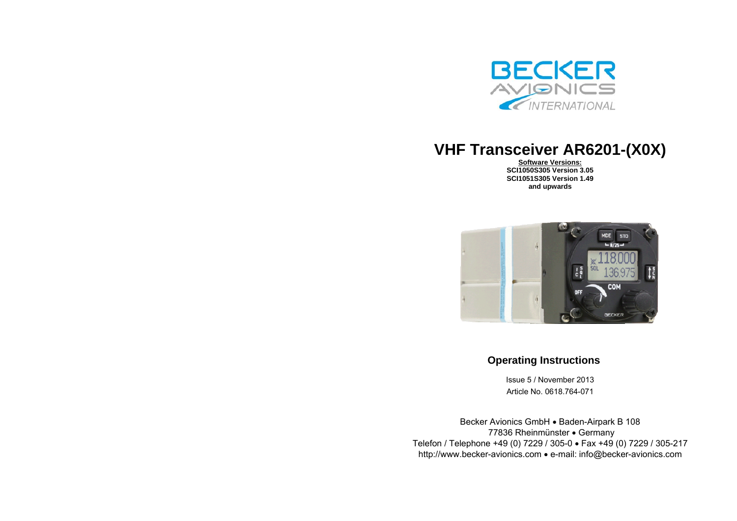

# **VHF Transceiver AR6201-(X0X)**

**Software Versions: SCI1050S305 Version 3.05 SCI1051S305 Version 1.49 and upwards**



# **Operating Instructions**

Issue 5 / November 2013 Article No. 0618.764-071

Becker Avionics GmbH . Baden-Airpark B 108 77836 Rheinmünster Germany Telefon / Telephone +49 (0) 7229 / 305-0 Fax +49 (0) 7229 / 305-217 http://www.becker-avionics.com e-mail: info@becker-avionics.com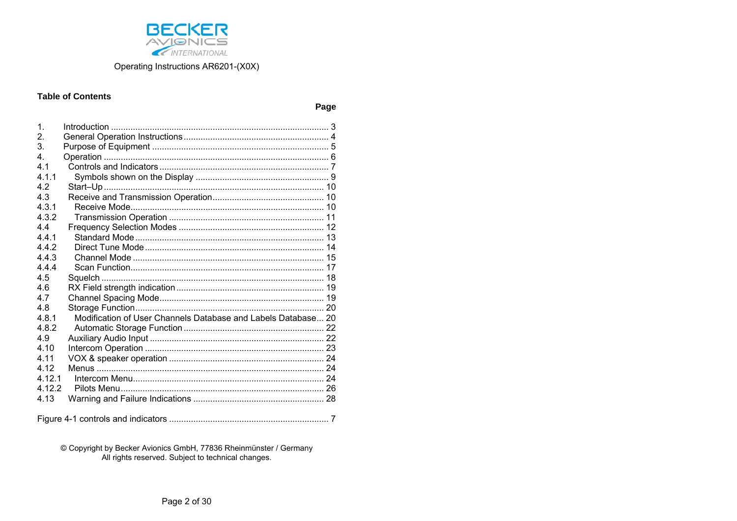

### **Table of Contents**

Page

| 1.      |                                                               |  |
|---------|---------------------------------------------------------------|--|
| 2.      |                                                               |  |
| 3.      |                                                               |  |
| 4.      |                                                               |  |
| 4.1     |                                                               |  |
| 4 1 1   |                                                               |  |
| 42      |                                                               |  |
| 4.3     |                                                               |  |
| 4.3.1   |                                                               |  |
| 432     |                                                               |  |
| 44      |                                                               |  |
| 441     |                                                               |  |
| 4.4.2   |                                                               |  |
| 4.4.3   |                                                               |  |
| 444     |                                                               |  |
| 4.5     |                                                               |  |
| 4.6     |                                                               |  |
| 4.7     |                                                               |  |
| 4.8     |                                                               |  |
| 4.8.1   | Modification of User Channels Database and Labels Database 20 |  |
| 4.8.2   |                                                               |  |
| 4.9     |                                                               |  |
| 4.10    |                                                               |  |
| 4 1 1   |                                                               |  |
| 4 1 2   |                                                               |  |
| 4 1 2 1 |                                                               |  |
| 4.12.2  |                                                               |  |
| 4.13    |                                                               |  |
|         |                                                               |  |

© Copyright by Becker Avionics GmbH, 77836 Rheinmünster / Germany<br>All rights reserved. Subject to technical changes.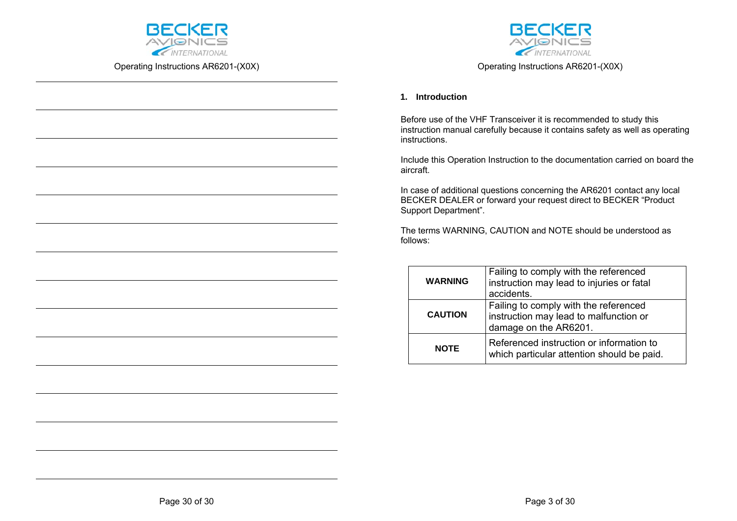



Operating Instructions AR6201-(X0X)

### **1. Introduction**

Before use of the VHF Transceiver it is recommended to study this instruction manual carefully because it contains safety as well as operating instructions.

Include this Operation Instruction to the documentation carried on board the aircraft.

In case of additional questions concerning the AR6201 contact any local BECKER DEALER or forward your request direct to BECKER "Product Support Department".

The terms WARNING, CAUTION and NOTE should be understood as follows:

| <b>WARNING</b> | Failing to comply with the referenced<br>instruction may lead to injuries or fatal<br>accidents.         |
|----------------|----------------------------------------------------------------------------------------------------------|
| <b>CAUTION</b> | Failing to comply with the referenced<br>instruction may lead to malfunction or<br>damage on the AR6201. |
| <b>NOTE</b>    | Referenced instruction or information to<br>which particular attention should be paid.                   |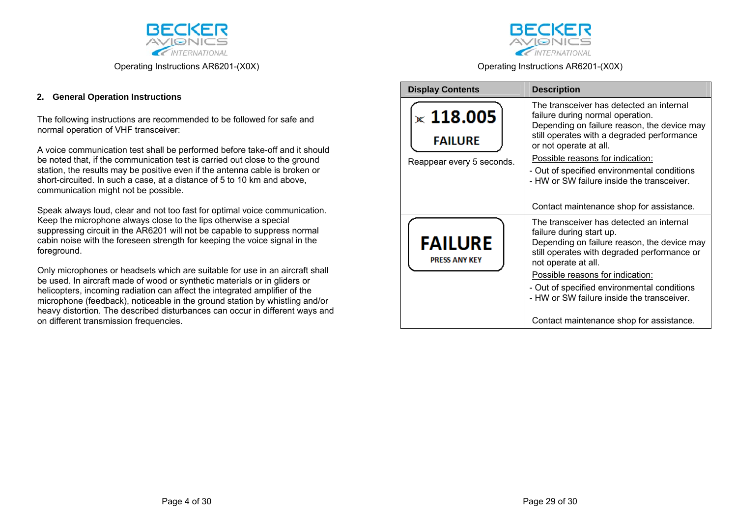

### **2. General Operation Instructions**

The following instructions are recommended to be followed for safe and normal operation of VHF transceiver:

A voice communication test shall be performed before take-off and it should be noted that, if the communication test is carried out close to the ground station, the results may be positive even if the antenna cable is broken or short-circuited. In such a case, at a distance of 5 to 10 km and above, communication might not be possible.

Speak always loud, clear and not too fast for optimal voice communication. Keep the microphone always close to the lips otherwise a special suppressing circuit in the AR6201 will not be capable to suppress normal cabin noise with the foreseen strength for keeping the voice signal in the foreground.

Only microphones or headsets which are suitable for use in an aircraft shall be used. In aircraft made of wood or synthetic materials or in gliders or helicopters, incoming radiation can affect the integrated amplifier of the microphone (feedback), noticeable in the ground station by whistling and/or heavy distortion. The described disturbances can occur in different ways and on different transmission frequencies.



Operating Instructions AR6201-(X0X)

| <b>Display Contents</b>                                         | <b>Description</b>                                                                                                                                                                                                                                                                                                                   |
|-----------------------------------------------------------------|--------------------------------------------------------------------------------------------------------------------------------------------------------------------------------------------------------------------------------------------------------------------------------------------------------------------------------------|
| $\times$ 118.005<br><b>FAILURE</b><br>Reappear every 5 seconds. | The transceiver has detected an internal<br>failure during normal operation.<br>Depending on failure reason, the device may<br>still operates with a degraded performance<br>or not operate at all.<br>Possible reasons for indication:<br>- Out of specified environmental conditions<br>- HW or SW failure inside the transceiver. |
|                                                                 | Contact maintenance shop for assistance.                                                                                                                                                                                                                                                                                             |
| <b>FAILURE</b><br><b>PRESS ANY KEY</b>                          | The transceiver has detected an internal<br>failure during start up.<br>Depending on failure reason, the device may<br>still operates with degraded performance or<br>not operate at all.                                                                                                                                            |
|                                                                 | Possible reasons for indication:                                                                                                                                                                                                                                                                                                     |
|                                                                 | - Out of specified environmental conditions<br>- HW or SW failure inside the transceiver.                                                                                                                                                                                                                                            |
|                                                                 | Contact maintenance shop for assistance.                                                                                                                                                                                                                                                                                             |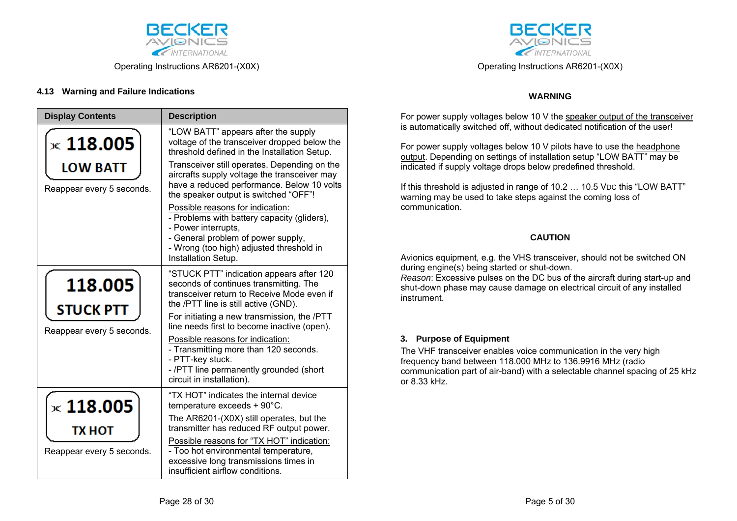

## **4.13 Warning and Failure Indications**

| <b>Display Contents</b>                       | <b>Description</b>                                                                                                                                                                                              |
|-----------------------------------------------|-----------------------------------------------------------------------------------------------------------------------------------------------------------------------------------------------------------------|
| $\times$ 118.005                              | "LOW BATT" appears after the supply<br>voltage of the transceiver dropped below the<br>threshold defined in the Installation Setup.                                                                             |
| <b>LOW BATT</b><br>Reappear every 5 seconds.  | Transceiver still operates. Depending on the<br>aircrafts supply voltage the transceiver may<br>have a reduced performance. Below 10 volts<br>the speaker output is switched "OFF"!                             |
|                                               | Possible reasons for indication:<br>- Problems with battery capacity (gliders),<br>- Power interrupts,<br>- General problem of power supply,<br>- Wrong (too high) adjusted threshold in<br>Installation Setup. |
| 118.005                                       | "STUCK PTT" indication appears after 120<br>seconds of continues transmitting. The<br>transceiver return to Receive Mode even if<br>the /PTT line is still active (GND).                                        |
| <b>STUCK PTT</b><br>Reappear every 5 seconds. | For initiating a new transmission, the /PTT<br>line needs first to become inactive (open).                                                                                                                      |
|                                               | Possible reasons for indication:<br>- Transmitting more than 120 seconds.<br>- PTT-key stuck.<br>- /PTT line permanently grounded (short                                                                        |
|                                               | circuit in installation).<br>"TX HOT" indicates the internal device                                                                                                                                             |
| $\times$ 118.005                              | temperature exceeds + 90°C.                                                                                                                                                                                     |
| ТХ НОТ                                        | The AR6201-(X0X) still operates, but the<br>transmitter has reduced RF output power.                                                                                                                            |
| Reappear every 5 seconds.                     | Possible reasons for "TX HOT" indication:<br>- Too hot environmental temperature,<br>excessive long transmissions times in                                                                                      |
|                                               | insufficient airflow conditions.                                                                                                                                                                                |



Operating Instructions AR6201-(X0X)

### **WARNING**

For power supply voltages below 10 V the speaker output of the transceiver is automatically switched off, without dedicated notification of the user!

For power supply voltages below 10 V pilots have to use the headphone output. Depending on settings of installation setup "LOW BATT" may be indicated if supply voltage drops below predefined threshold.

If this threshold is adjusted in range of 10.2 ... 10.5 VDC this "LOW BATT" warning may be used to take steps against the coming loss of communication.

### **CAUTION**

Avionics equipment, e.g. the VHS transceiver, should not be switched ON during engine(s) being started or shut-down.

*Reason*: Excessive pulses on the DC bus of the aircraft during start-up and shut-down phase may cause damage on electrical circuit of any installed instrument.

### **3. Purpose of Equipment**

The VHF transceiver enables voice communication in the very high frequency band between 118.000 MHz to 136.9916 MHz (radio communication part of air-band) with a selectable channel spacing of 25 kHz or 8.33 kHz.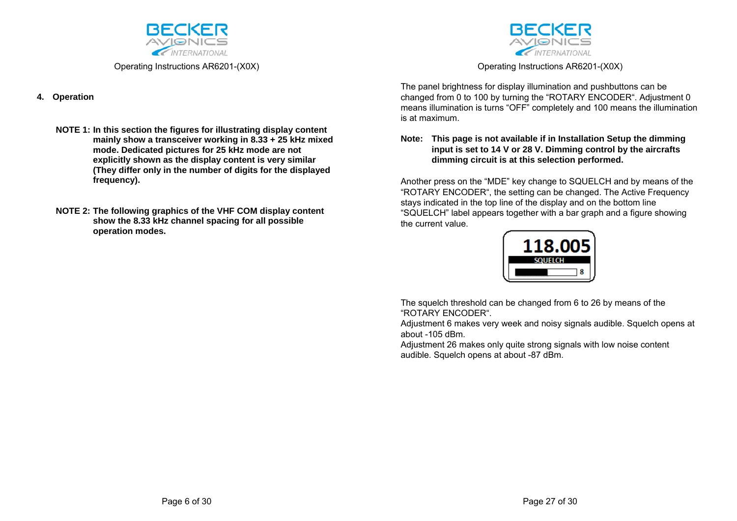

### **4. Operation**

- **NOTE 1: In this section the figures for illustrating display content mainly show a transceiver working in 8.33 + 25 kHz mixed mode. Dedicated pictures for 25 kHz mode are not explicitly shown as the display content is very similar (They differ only in the number of digits for the displayed frequency).**
- **NOTE 2: The following graphics of the VHF COM display content show the 8.33 kHz channel spacing for all possible operation modes.**



Operating Instructions AR6201-(X0X)

The panel brightness for display illumination and pushbuttons can be changed from 0 to 100 by turning the "ROTARY ENCODER". Adjustment 0 means illumination is turns "OFF" completely and 100 means the illumination is at maximum.

### **Note: This page is not available if in Installation Setup the dimming input is set to 14 V or 28 V. Dimming control by the aircrafts dimming circuit is at this selection performed.**

Another press on the "MDE" key change to SQUELCH and by means of the "ROTARY ENCODER", the setting can be changed. The Active Frequency stays indicated in the top line of the display and on the bottom line "SQUELCH" label appears together with a bar graph and a figure showing the current value.



The squelch threshold can be changed from 6 to 26 by means of the "ROTARY ENCODER".

Adjustment 6 makes very week and noisy signals audible. Squelch opens at about -105 dBm.

Adjustment 26 makes only quite strong signals with low noise content audible. Squelch opens at about -87 dBm.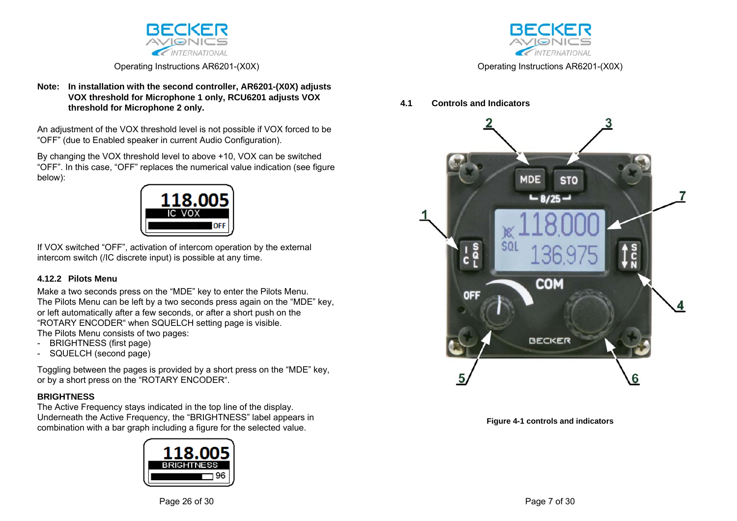

### **Note: In installation with the second controller, AR6201-(X0X) adjusts VOX threshold for Microphone 1 only, RCU6201 adjusts VOX threshold for Microphone 2 only.**

An adjustment of the VOX threshold level is not possible if VOX forced to be "OFF" (due to Enabled speaker in current Audio Configuration).

By changing the VOX threshold level to above +10, VOX can be switched "OFF". In this case, "OFF" replaces the numerical value indication (see figure below):



If VOX switched "OFF", activation of intercom operation by the external intercom switch (/IC discrete input) is possible at any time.

# **4.12.2 Pilots Menu**

Make a two seconds press on the "MDE" key to enter the Pilots Menu. The Pilots Menu can be left by a two seconds press again on the "MDE" key, or left automatically after a few seconds, or after a short push on the "ROTARY ENCODER" when SQUELCH setting page is visible. The Pilots Menu consists of two pages:

- BRIGHTNESS (first page)
- SQUELCH (second page)

Toggling between the pages is provided by a short press on the "MDE" key, or by a short press on the "ROTARY ENCODER".

# **BRIGHTNESS**

The Active Frequency stays indicated in the top line of the display. Underneath the Active Frequency, the "BRIGHTNESS" label appears in combination with a bar graph including a figure for the selected value.





Operating Instructions AR6201-(X0X)

### **4.1 Controls and Indicators**



**Figure 4-1 controls and indicators**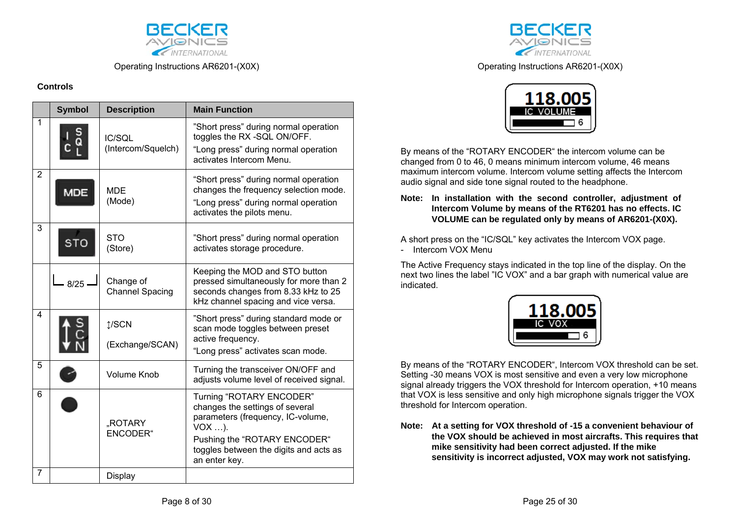

### **Controls**

|                | <b>Symbol</b> | <b>Description</b>                  | <b>Main Function</b>                                                                                                                                                                                    |
|----------------|---------------|-------------------------------------|---------------------------------------------------------------------------------------------------------------------------------------------------------------------------------------------------------|
| 1              |               | IC/SQL<br>(Intercom/Squelch)        | "Short press" during normal operation<br>toggles the RX -SQL ON/OFF.<br>"Long press" during normal operation<br>activates Intercom Menu.                                                                |
| $\overline{2}$ | <b>MDE</b>    | <b>MDE</b><br>(Mode)                | "Short press" during normal operation<br>changes the frequency selection mode.<br>"Long press" during normal operation<br>activates the pilots menu.                                                    |
| 3              | <b>STO</b>    | <b>STO</b><br>(Store)               | "Short press" during normal operation<br>activates storage procedure.                                                                                                                                   |
|                | $8/25 -$      | Change of<br><b>Channel Spacing</b> | Keeping the MOD and STO button<br>pressed simultaneously for more than 2<br>seconds changes from 8.33 kHz to 25<br>kHz channel spacing and vice versa.                                                  |
| 4              |               | 1/SCN<br>(Exchange/SCAN)            | "Short press" during standard mode or<br>scan mode toggles between preset<br>active frequency.<br>"Long press" activates scan mode.                                                                     |
| 5              |               | <b>Volume Knob</b>                  | Turning the transceiver ON/OFF and<br>adjusts volume level of received signal.                                                                                                                          |
| 6              |               | "ROTARY<br><b>ENCODER</b> "         | Turning "ROTARY ENCODER"<br>changes the settings of several<br>parameters (frequency, IC-volume,<br>$VOX$ ).<br>Pushing the "ROTARY ENCODER"<br>toggles between the digits and acts as<br>an enter key. |
| 7              |               | Display                             |                                                                                                                                                                                                         |



Operating Instructions AR6201-(X0X)



By means of the "ROTARY ENCODER" the intercom volume can be changed from 0 to 46, 0 means minimum intercom volume, 46 means maximum intercom volume. Intercom volume setting affects the Intercom audio signal and side tone signal routed to the headphone.

**Note: In installation with the second controller, adjustment of Intercom Volume by means of the RT6201 has no effects. IC VOLUME can be regulated only by means of AR6201-(X0X).** 

A short press on the "IC/SQL" key activates the Intercom VOX page.

- Intercom VOX Menu

The Active Frequency stays indicated in the top line of the display. On the next two lines the label "IC VOX" and a bar graph with numerical value are indicated.



By means of the "ROTARY ENCODER", Intercom VOX threshold can be set. Setting -30 means VOX is most sensitive and even a very low microphone signal already triggers the VOX threshold for Intercom operation, +10 means that VOX is less sensitive and only high microphone signals trigger the VOX threshold for Intercom operation.

**Note: At a setting for VOX threshold of -15 a convenient behaviour of the VOX should be achieved in most aircrafts. This requires that mike sensitivity had been correct adjusted. If the mike sensitivity is incorrect adjusted, VOX may work not satisfying.**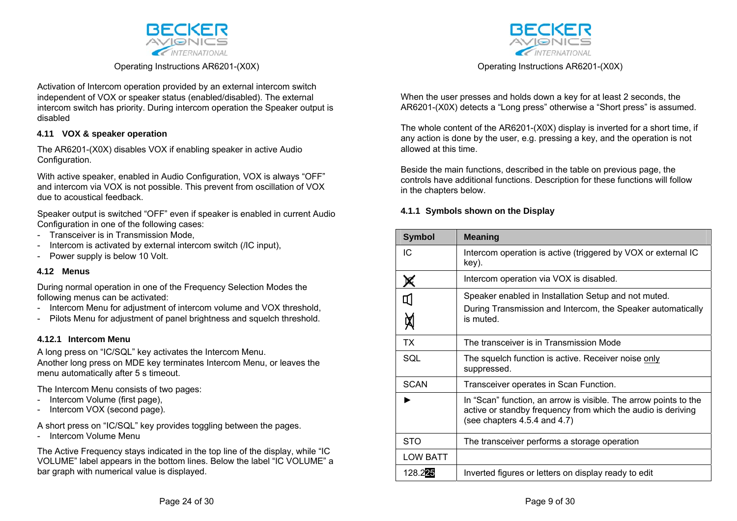

Activation of Intercom operation provided by an external intercom switch independent of VOX or speaker status (enabled/disabled). The external intercom switch has priority. During intercom operation the Speaker output is disabled

### **4.11 VOX & speaker operation**

The AR6201-(X0X) disables VOX if enabling speaker in active Audio Configuration.

With active speaker, enabled in Audio Configuration, VOX is always "OFF" and intercom via VOX is not possible. This prevent from oscillation of VOX due to acoustical feedback.

Speaker output is switched "OFF" even if speaker is enabled in current Audio Configuration in one of the following cases:

- Transceiver is in Transmission Mode,
- Intercom is activated by external intercom switch (/IC input),
- Power supply is below 10 Volt.

### **4.12 Menus**

During normal operation in one of the Frequency Selection Modes the following menus can be activated:

- Intercom Menu for adjustment of intercom volume and VOX threshold,
- Pilots Menu for adjustment of panel brightness and squelch threshold.

### **4.12.1 Intercom Menu**

A long press on "IC/SQL" key activates the Intercom Menu. Another long press on MDE key terminates Intercom Menu, or leaves the menu automatically after 5 s timeout.

The Intercom Menu consists of two pages:

- Intercom Volume (first page),
- Intercom VOX (second page).

A short press on "IC/SQL" key provides toggling between the pages.

- Intercom Volume Menu

The Active Frequency stays indicated in the top line of the display, while "IC VOLUME" label appears in the bottom lines. Below the label "IC VOLUME" a bar graph with numerical value is displayed.



Operating Instructions AR6201-(X0X)

When the user presses and holds down a key for at least 2 seconds, the AR6201-(X0X) detects a "Long press" otherwise a "Short press" is assumed.

The whole content of the AR6201-(X0X) display is inverted for a short time, if any action is done by the user, e.g. pressing a key, and the operation is not allowed at this time.

Beside the main functions, described in the table on previous page, the controls have additional functions. Description for these functions will follow in the chapters below.

### **4.1.1 Symbols shown on the Display**

| <b>Symbol</b>   | <b>Meaning</b>                                                                                                                                                        |
|-----------------|-----------------------------------------------------------------------------------------------------------------------------------------------------------------------|
| IC              | Intercom operation is active (triggered by VOX or external IC<br>key).                                                                                                |
|                 | Intercom operation via VOX is disabled.                                                                                                                               |
| Д               | Speaker enabled in Installation Setup and not muted.                                                                                                                  |
|                 | During Transmission and Intercom, the Speaker automatically<br>is muted.                                                                                              |
| ТX              | The transceiver is in Transmission Mode                                                                                                                               |
| SQL             | The squelch function is active. Receiver noise only<br>suppressed.                                                                                                    |
| <b>SCAN</b>     | Transceiver operates in Scan Function.                                                                                                                                |
|                 | In "Scan" function, an arrow is visible. The arrow points to the<br>active or standby frequency from which the audio is deriving<br>(see chapters $4.5.4$ and $4.7$ ) |
| <b>STO</b>      | The transceiver performs a storage operation                                                                                                                          |
| <b>LOW BATT</b> |                                                                                                                                                                       |
| 128.225         | Inverted figures or letters on display ready to edit                                                                                                                  |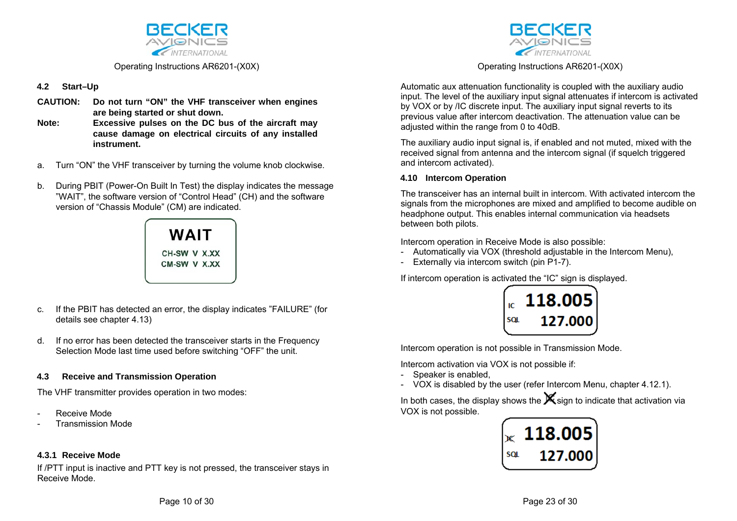

# **4.2 Start–Up**

- **CAUTION: Do not turn "ON" the VHF transceiver when engines are being started or shut down.**
- **Note: Excessive pulses on the DC bus of the aircraft may cause damage on electrical circuits of any installed instrument.**
- a. Turn "ON" the VHF transceiver by turning the volume knob clockwise.
- b. During PBIT (Power-On Built In Test) the display indicates the message "WAIT", the software version of "Control Head" (CH) and the software version of "Chassis Module" (CM) are indicated.

# **WAIT** CH-SW V X.XX CM-SW V X.XX

- c. If the PBIT has detected an error, the display indicates "FAILURE" (for details see chapter 4.13)
- d. If no error has been detected the transceiver starts in the Frequency Selection Mode last time used before switching "OFF" the unit.

# **4.3 Receive and Transmission Operation**

The VHF transmitter provides operation in two modes:

- Receive Mode
- **Transmission Mode**

# **4.3.1 Receive Mode**

If /PTT input is inactive and PTT key is not pressed, the transceiver stays in Receive Mode.



Operating Instructions AR6201-(X0X)

Automatic aux attenuation functionality is coupled with the auxiliary audio input. The level of the auxiliary input signal attenuates if intercom is activated by VOX or by /IC discrete input. The auxiliary input signal reverts to its previous value after intercom deactivation. The attenuation value can be adjusted within the range from 0 to 40dB.

The auxiliary audio input signal is, if enabled and not muted, mixed with the received signal from antenna and the intercom signal (if squelch triggered and intercom activated).

### **4.10 Intercom Operation**

The transceiver has an internal built in intercom. With activated intercom the signals from the microphones are mixed and amplified to become audible on headphone output. This enables internal communication via headsets between both pilots.

Intercom operation in Receive Mode is also possible:

- Automatically via VOX (threshold adjustable in the Intercom Menu),
- Externally via intercom switch (pin P1-7).

If intercom operation is activated the "IC" sign is displayed.



Intercom operation is not possible in Transmission Mode.

Intercom activation via VOX is not possible if:

- Speaker is enabled,
- VOX is disabled by the user (refer Intercom Menu, chapter 4.12.1).

In both cases, the display shows the  $\mathbf{\mathbf{X}}$  sign to indicate that activation via VOX is not possible.

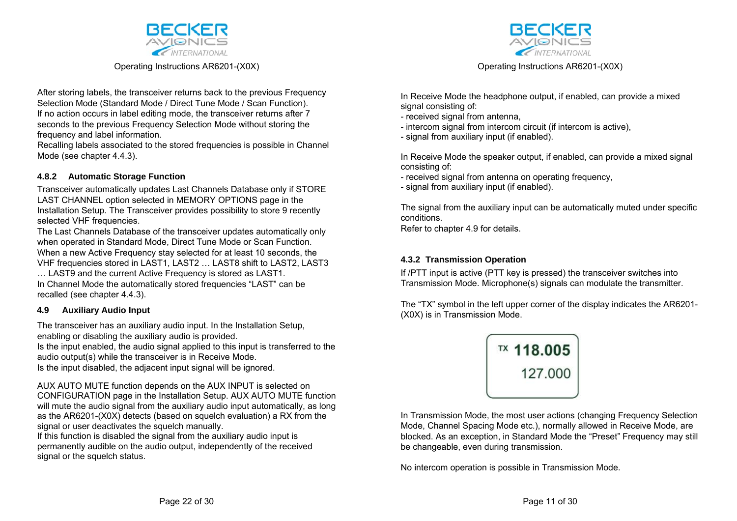

After storing labels, the transceiver returns back to the previous Frequency Selection Mode (Standard Mode / Direct Tune Mode / Scan Function). If no action occurs in label editing mode, the transceiver returns after 7 seconds to the previous Frequency Selection Mode without storing the frequency and label information.

Recalling labels associated to the stored frequencies is possible in Channel Mode (see chapter 4.4.3).

## **4.8.2 Automatic Storage Function**

Transceiver automatically updates Last Channels Database only if STORE LAST CHANNEL option selected in MEMORY OPTIONS page in the Installation Setup. The Transceiver provides possibility to store 9 recently selected VHF frequencies.

The Last Channels Database of the transceiver updates automatically only when operated in Standard Mode, Direct Tune Mode or Scan Function. When a new Active Frequency stay selected for at least 10 seconds, the VHF frequencies stored in LAST1, LAST2 … LAST8 shift to LAST2, LAST3

… LAST9 and the current Active Frequency is stored as LAST1. In Channel Mode the automatically stored frequencies "LAST" can be recalled (see chapter 4.4.3).

### **4.9 Auxiliary Audio Input**

The transceiver has an auxiliary audio input. In the Installation Setup, enabling or disabling the auxiliary audio is provided.

Is the input enabled, the audio signal applied to this input is transferred to the audio output(s) while the transceiver is in Receive Mode.

Is the input disabled, the adjacent input signal will be ignored.

AUX AUTO MUTE function depends on the AUX INPUT is selected on CONFIGURATION page in the Installation Setup. AUX AUTO MUTE function will mute the audio signal from the auxiliary audio input automatically, as long as the AR6201-(X0X) detects (based on squelch evaluation) a RX from the signal or user deactivates the squelch manually.

If this function is disabled the signal from the auxiliary audio input is permanently audible on the audio output, independently of the received signal or the squelch status.



Operating Instructions AR6201-(X0X)

In Receive Mode the headphone output, if enabled, can provide a mixed signal consisting of:

- received signal from antenna,
- intercom signal from intercom circuit (if intercom is active),
- signal from auxiliary input (if enabled).

In Receive Mode the speaker output, if enabled, can provide a mixed signal consisting of:

- received signal from antenna on operating frequency,
- signal from auxiliary input (if enabled).

The signal from the auxiliary input can be automatically muted under specific conditions.

Refer to chapter 4.9 for details.

### **4.3.2 Transmission Operation**

If /PTT input is active (PTT key is pressed) the transceiver switches into Transmission Mode. Microphone(s) signals can modulate the transmitter.

The "TX" symbol in the left upper corner of the display indicates the AR6201- (X0X) is in Transmission Mode.

| TX 118.005 |
|------------|
| 127.000    |
|            |

In Transmission Mode, the most user actions (changing Frequency Selection Mode, Channel Spacing Mode etc.), normally allowed in Receive Mode, are blocked. As an exception, in Standard Mode the "Preset" Frequency may still be changeable, even during transmission.

No intercom operation is possible in Transmission Mode.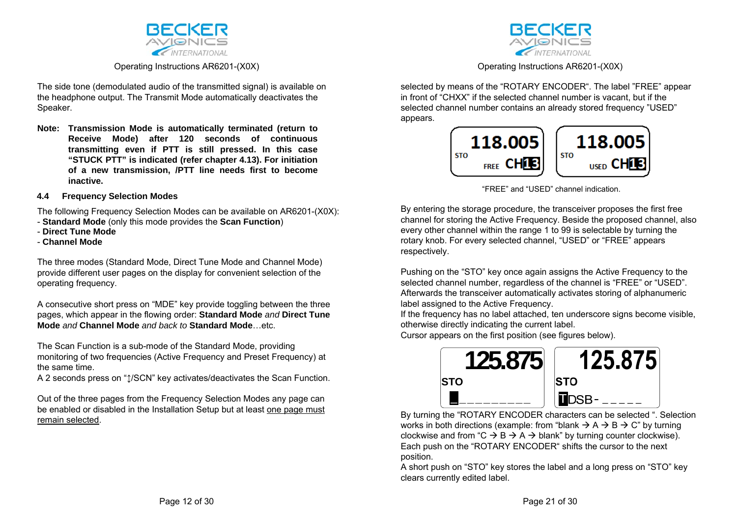

The side tone (demodulated audio of the transmitted signal) is available on the headphone output. The Transmit Mode automatically deactivates the Speaker.

**Note: Transmission Mode is automatically terminated (return to Receive Mode) after 120 seconds of continuous transmitting even if PTT is still pressed. In this case "STUCK PTT" is indicated (refer chapter 4.13). For initiation of a new transmission, /PTT line needs first to become inactive.** 

#### **4.4 Frequency Selection Modes**

The following Frequency Selection Modes can be available on AR6201-(X0X):

- **Standard Mode** (only this mode provides the **Scan Function**)
- **Direct Tune Mode**
- **Channel Mode**

The three modes (Standard Mode, Direct Tune Mode and Channel Mode) provide different user pages on the display for convenient selection of the operating frequency.

A consecutive short press on "MDE" key provide toggling between the three pages, which appear in the flowing order: **Standard Mode** *and* **Direct Tune Mode** *and* **Channel Mode** *and back to* **Standard Mode**…etc.

The Scan Function is a sub-mode of the Standard Mode, providing monitoring of two frequencies (Active Frequency and Preset Frequency) at the same time.

A 2 seconds press on " $\sqrt{2}$ /SCN" key activates/deactivates the Scan Function.

Out of the three pages from the Frequency Selection Modes any page can be enabled or disabled in the Installation Setup but at least one page must remain selected.



Operating Instructions AR6201-(X0X)

selected by means of the "ROTARY ENCODER". The label "FREE" appear in front of "CHXX" if the selected channel number is vacant, but if the selected channel number contains an already stored frequency "USED" appears.



<sup>&</sup>quot;FREE" and "USED" channel indication.

By entering the storage procedure, the transceiver proposes the first free channel for storing the Active Frequency. Beside the proposed channel, also every other channel within the range 1 to 99 is selectable by turning the rotary knob. For every selected channel, "USED" or "FREE" appears respectively.

Pushing on the "STO" key once again assigns the Active Frequency to the selected channel number, regardless of the channel is "FREE" or "USED". Afterwards the transceiver automatically activates storing of alphanumeric label assigned to the Active Frequency.

If the frequency has no label attached, ten underscore signs become visible, otherwise directly indicating the current label.

Cursor appears on the first position (see figures below).



By turning the "ROTARY ENCODER characters can be selected ". Selection works in both directions (example: from "blank  $\rightarrow$  A  $\rightarrow$  B  $\rightarrow$  C" by turning clockwise and from "C  $\rightarrow$  B  $\rightarrow$  A  $\rightarrow$  blank" by turning counter clockwise). Each push on the "ROTARY ENCODER" shifts the cursor to the next position.

A short push on "STO" key stores the label and a long press on "STO" key clears currently edited label.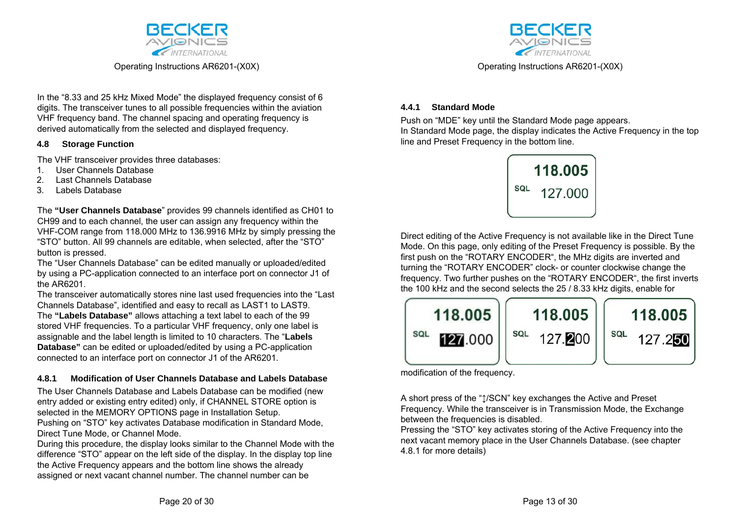

In the "8.33 and 25 kHz Mixed Mode" the displayed frequency consist of 6 digits. The transceiver tunes to all possible frequencies within the aviation VHF frequency band. The channel spacing and operating frequency is derived automatically from the selected and displayed frequency.

### **4.8 Storage Function**

The VHF transceiver provides three databases:

- 1. User Channels Database
- 2. Last Channels Database
- 3. Labels Database

The **"User Channels Database**" provides 99 channels identified as CH01 to CH99 and to each channel, the user can assign any frequency within the VHF-COM range from 118.000 MHz to 136.9916 MHz by simply pressing the "STO" button. All 99 channels are editable, when selected, after the "STO" button is pressed.

The "User Channels Database" can be edited manually or uploaded/edited by using a PC-application connected to an interface port on connector J1 of the AR6201.

The transceiver automatically stores nine last used frequencies into the "Last Channels Database", identified and easy to recall as LAST1 to LAST9. The **"Labels Database"** allows attaching a text label to each of the 99 stored VHF frequencies. To a particular VHF frequency, only one label is assignable and the label length is limited to 10 characters. The "**Labels Database"** can be edited or uploaded/edited by using a PC-application connected to an interface port on connector J1 of the AR6201.

# **4.8.1 Modification of User Channels Database and Labels Database**

The User Channels Database and Labels Database can be modified (new entry added or existing entry edited) only, if CHANNEL STORE option is selected in the MEMORY OPTIONS page in Installation Setup.

Pushing on "STO" key activates Database modification in Standard Mode, Direct Tune Mode, or Channel Mode.

During this procedure, the display looks similar to the Channel Mode with the difference "STO" appear on the left side of the display. In the display top line the Active Frequency appears and the bottom line shows the already assigned or next vacant channel number. The channel number can be



Operating Instructions AR6201-(X0X)

### **4.4.1 Standard Mode**

Push on "MDE" key until the Standard Mode page appears. In Standard Mode page, the display indicates the Active Frequency in the top line and Preset Frequency in the bottom line.



Direct editing of the Active Frequency is not available like in the Direct Tune Mode. On this page, only editing of the Preset Frequency is possible. By the first push on the "ROTARY ENCODER", the MHz digits are inverted and turning the "ROTARY ENCODER" clock- or counter clockwise change the frequency. Two further pushes on the "ROTARY ENCODER", the first inverts the 100 kHz and the second selects the 25 / 8.33 kHz digits, enable for



modification of the frequency.

A short press of the " $\uparrow$ /SCN" key exchanges the Active and Preset Frequency. While the transceiver is in Transmission Mode, the Exchange between the frequencies is disabled.

Pressing the "STO" key activates storing of the Active Frequency into the next vacant memory place in the User Channels Database. (see chapter 4.8.1 for more details)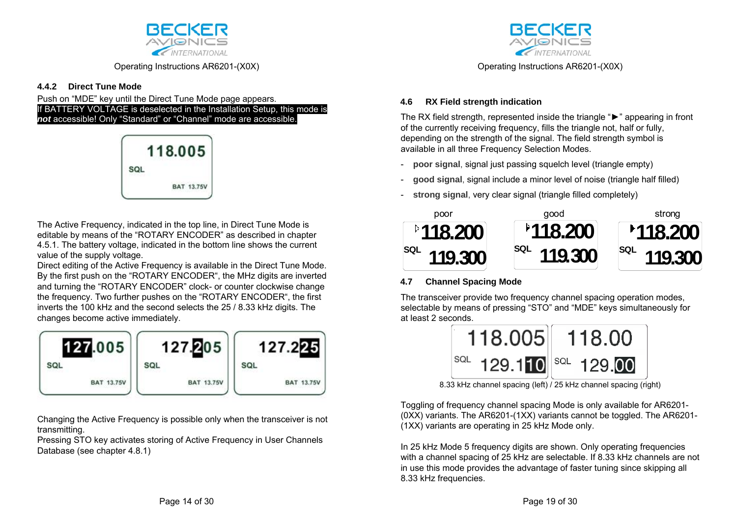

# **4.4.2 Direct Tune Mode**

Push on "MDE" key until the Direct Tune Mode page appears. If BATTERY VOLTAGE is deselected in the Installation Setup, this mode is *not* accessible! Only "Standard" or "Channel" mode are accessible.



The Active Frequency, indicated in the top line, in Direct Tune Mode is editable by means of the "ROTARY ENCODER" as described in chapter 4.5.1. The battery voltage, indicated in the bottom line shows the current value of the supply voltage.

Direct editing of the Active Frequency is available in the Direct Tune Mode. By the first push on the "ROTARY ENCODER", the MHz digits are inverted and turning the "ROTARY ENCODER" clock- or counter clockwise change the frequency. Two further pushes on the "ROTARY ENCODER", the first inverts the 100 kHz and the second selects the 25 / 8.33 kHz digits. The changes become active immediately.



Changing the Active Frequency is possible only when the transceiver is not transmitting.

Pressing STO key activates storing of Active Frequency in User Channels Database (see chapter 4.8.1)



Operating Instructions AR6201-(X0X)

# **4.6 RX Field strength indication**

The RX field strength, represented inside the triangle "►" appearing in front of the currently receiving frequency, fills the triangle not, half or fully, depending on the strength of the signal. The field strength symbol is available in all three Frequency Selection Modes.

- **poor signal**, signal just passing squelch level (triangle empty)
- **good signal**, signal include a minor level of noise (triangle half filled)
- **strong signal, very clear signal (triangle filled completely)**



# **4.7 Channel Spacing Mode**

The transceiver provide two frequency channel spacing operation modes, selectable by means of pressing "STO" and "MDE" keys simultaneously for at least 2 seconds.



8.33 kHz channel spacing (left) / 25 kHz channel spacing (right)

Toggling of frequency channel spacing Mode is only available for AR6201- (0XX) variants. The AR6201-(1XX) variants cannot be toggled. The AR6201- (1XX) variants are operating in 25 kHz Mode only.

In 25 kHz Mode 5 frequency digits are shown. Only operating frequencies with a channel spacing of 25 kHz are selectable. If 8.33 kHz channels are not in use this mode provides the advantage of faster tuning since skipping all 8.33 kHz frequencies.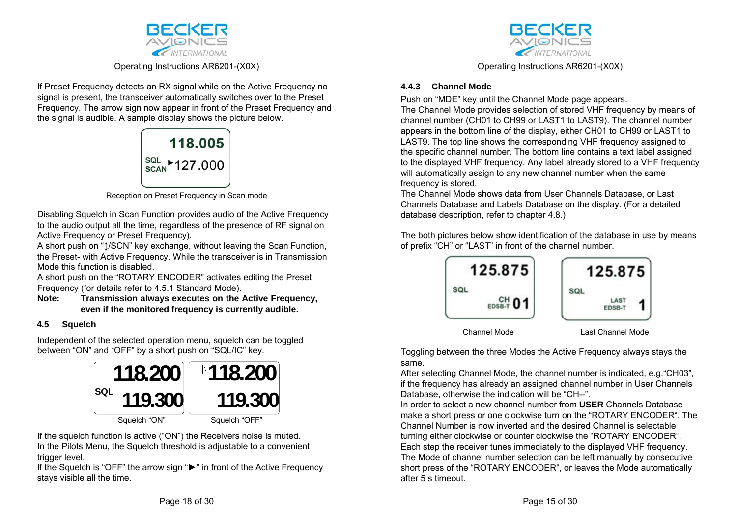

If Preset Frequency detects an RX signal while on the Active Frequency no signal is present, the transceiver automatically switches over to the Preset Frequency. The arrow sign now appear in front of the Preset Frequency and the signal is audible. A sample display shows the picture below.



Reception on Preset Frequency in Scan mode

Disabling Squelch in Scan Function provides audio of the Active Frequency to the audio output all the time, regardless of the presence of RF signal on Active Frequency or Preset Frequency).

A short push on " $\sqrt{1}/\text{SCN}$ " key exchange, without leaving the Scan Function, the Preset- with Active Frequency. While the transceiver is in Transmission Mode this function is disabled.

A short push on the "ROTARY ENCODER" activates editing the Preset Frequency (for details refer to 4.5.1 Standard Mode).

### **Note: Transmission always executes on the Active Frequency, even if the monitored frequency is currently audible.**

# **4.5 Squelch**

Independent of the selected operation menu, squelch can be toggled between "ON" and "OFF" by a short push on "SQL/IC" key.



If the squelch function is active ("ON") the Receivers noise is muted. In the Pilots Menu, the Squelch threshold is adjustable to a convenient trigger level.

If the Squelch is "OFF" the arrow sign "►" in front of the Active Frequency stays visible all the time.



Operating Instructions AR6201-(X0X)

# **4.4.3 Channel Mode**

Push on "MDE" key until the Channel Mode page appears. The Channel Mode provides selection of stored VHF frequency by means of channel number (CH01 to CH99 or LAST1 to LAST9). The channel number appears in the bottom line of the display, either CH01 to CH99 or LAST1 to LAST9. The top line shows the corresponding VHF frequency assigned to the specific channel number. The bottom line contains a text label assigned to the displayed VHF frequency. Any label already stored to a VHF frequency will automatically assign to any new channel number when the same frequency is stored.

The Channel Mode shows data from User Channels Database, or Last Channels Database and Labels Database on the display. (For a detailed database description, refer to chapter 4.8.)

The both pictures below show identification of the database in use by means of prefix "CH" or "LAST" in front of the channel number.



Toggling between the three Modes the Active Frequency always stays the same.

After selecting Channel Mode, the channel number is indicated, e.g."CH03", if the frequency has already an assigned channel number in User Channels Database, otherwise the indication will be "CH--".

In order to select a new channel number from **USER** Channels Database make a short press or one clockwise turn on the "ROTARY ENCODER". The Channel Number is now inverted and the desired Channel is selectable turning either clockwise or counter clockwise the "ROTARY ENCODER". Each step the receiver tunes immediately to the displayed VHF frequency. The Mode of channel number selection can be left manually by consecutive short press of the "ROTARY ENCODER", or leaves the Mode automatically after 5 s timeout.